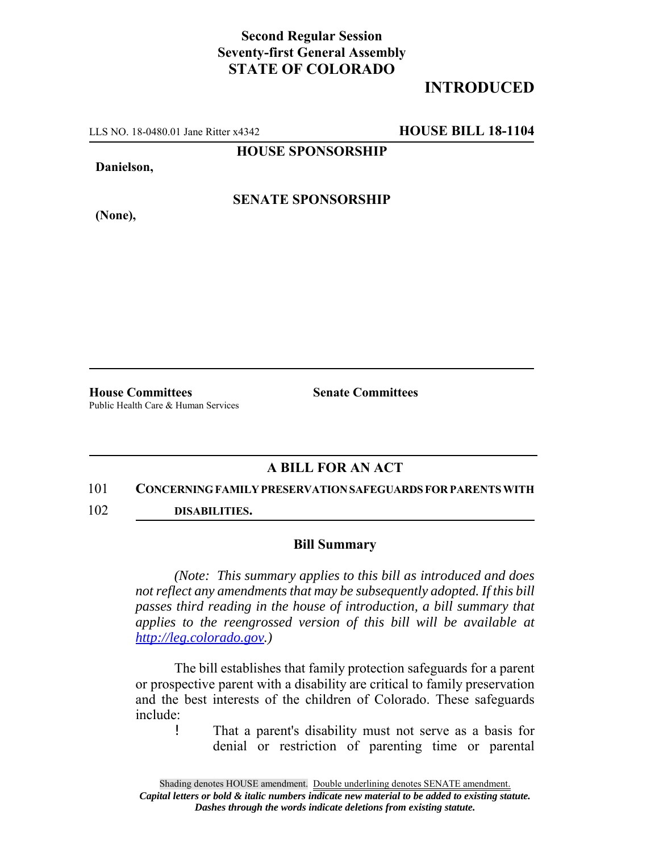## **Second Regular Session Seventy-first General Assembly STATE OF COLORADO**

# **INTRODUCED**

LLS NO. 18-0480.01 Jane Ritter x4342 **HOUSE BILL 18-1104**

**HOUSE SPONSORSHIP**

**Danielson,**

**(None),**

**SENATE SPONSORSHIP**

Public Health Care & Human Services

**House Committees Senate Committees** 

### **A BILL FOR AN ACT**

#### 101 **CONCERNING FAMILY PRESERVATION SAFEGUARDS FOR PARENTS WITH**

102 **DISABILITIES.**

#### **Bill Summary**

*(Note: This summary applies to this bill as introduced and does not reflect any amendments that may be subsequently adopted. If this bill passes third reading in the house of introduction, a bill summary that applies to the reengrossed version of this bill will be available at http://leg.colorado.gov.)*

The bill establishes that family protection safeguards for a parent or prospective parent with a disability are critical to family preservation and the best interests of the children of Colorado. These safeguards include:

! That a parent's disability must not serve as a basis for denial or restriction of parenting time or parental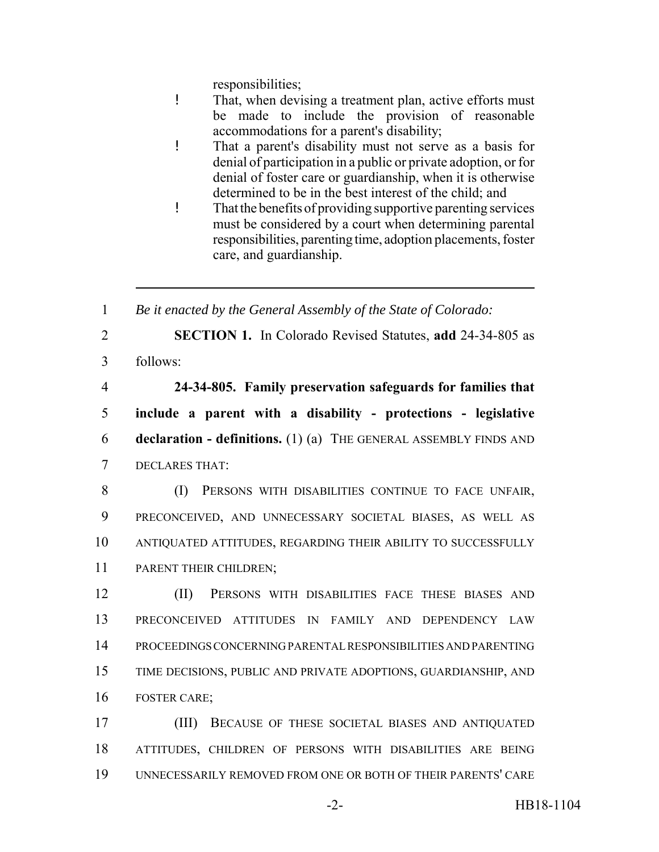responsibilities;

- ! That, when devising a treatment plan, active efforts must be made to include the provision of reasonable accommodations for a parent's disability;
- ! That a parent's disability must not serve as a basis for denial of participation in a public or private adoption, or for denial of foster care or guardianship, when it is otherwise determined to be in the best interest of the child; and
- ! That the benefits of providing supportive parenting services must be considered by a court when determining parental responsibilities, parenting time, adoption placements, foster care, and guardianship.

1 *Be it enacted by the General Assembly of the State of Colorado:*

2 **SECTION 1.** In Colorado Revised Statutes, **add** 24-34-805 as

3 follows:

 **24-34-805. Family preservation safeguards for families that include a parent with a disability - protections - legislative declaration - definitions.** (1) (a) THE GENERAL ASSEMBLY FINDS AND DECLARES THAT:

 (I) PERSONS WITH DISABILITIES CONTINUE TO FACE UNFAIR, PRECONCEIVED, AND UNNECESSARY SOCIETAL BIASES, AS WELL AS ANTIQUATED ATTITUDES, REGARDING THEIR ABILITY TO SUCCESSFULLY PARENT THEIR CHILDREN;

 (II) PERSONS WITH DISABILITIES FACE THESE BIASES AND PRECONCEIVED ATTITUDES IN FAMILY AND DEPENDENCY LAW PROCEEDINGS CONCERNING PARENTAL RESPONSIBILITIES AND PARENTING TIME DECISIONS, PUBLIC AND PRIVATE ADOPTIONS, GUARDIANSHIP, AND FOSTER CARE;

17 (III) BECAUSE OF THESE SOCIETAL BIASES AND ANTIQUATED 18 ATTITUDES, CHILDREN OF PERSONS WITH DISABILITIES ARE BEING 19 UNNECESSARILY REMOVED FROM ONE OR BOTH OF THEIR PARENTS' CARE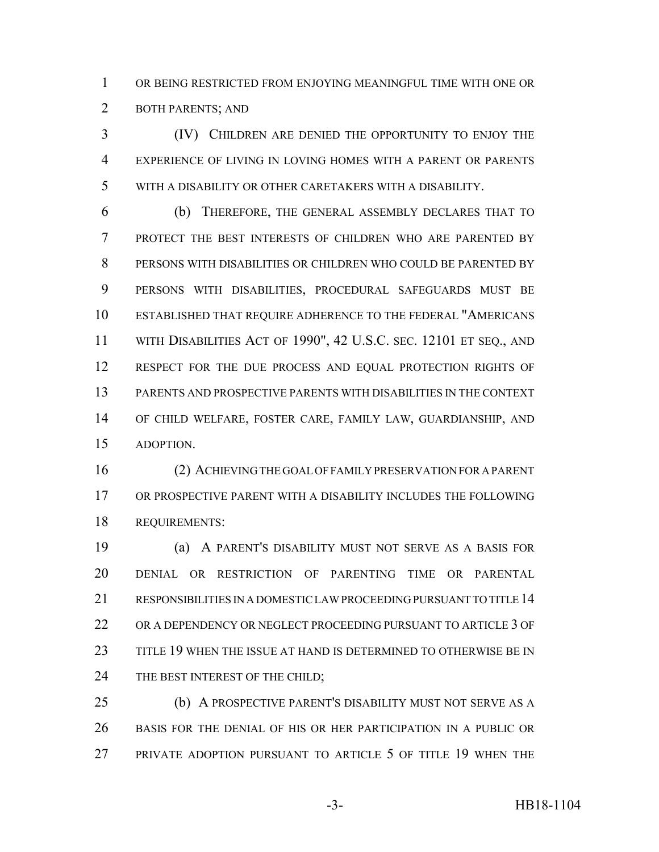OR BEING RESTRICTED FROM ENJOYING MEANINGFUL TIME WITH ONE OR BOTH PARENTS; AND

 (IV) CHILDREN ARE DENIED THE OPPORTUNITY TO ENJOY THE EXPERIENCE OF LIVING IN LOVING HOMES WITH A PARENT OR PARENTS WITH A DISABILITY OR OTHER CARETAKERS WITH A DISABILITY.

 (b) THEREFORE, THE GENERAL ASSEMBLY DECLARES THAT TO PROTECT THE BEST INTERESTS OF CHILDREN WHO ARE PARENTED BY PERSONS WITH DISABILITIES OR CHILDREN WHO COULD BE PARENTED BY PERSONS WITH DISABILITIES, PROCEDURAL SAFEGUARDS MUST BE ESTABLISHED THAT REQUIRE ADHERENCE TO THE FEDERAL "AMERICANS WITH DISABILITIES ACT OF 1990", 42 U.S.C. SEC. 12101 ET SEQ., AND 12 RESPECT FOR THE DUE PROCESS AND EQUAL PROTECTION RIGHTS OF PARENTS AND PROSPECTIVE PARENTS WITH DISABILITIES IN THE CONTEXT OF CHILD WELFARE, FOSTER CARE, FAMILY LAW, GUARDIANSHIP, AND ADOPTION.

 (2) ACHIEVING THE GOAL OF FAMILY PRESERVATION FOR A PARENT OR PROSPECTIVE PARENT WITH A DISABILITY INCLUDES THE FOLLOWING REQUIREMENTS:

 (a) A PARENT'S DISABILITY MUST NOT SERVE AS A BASIS FOR DENIAL OR RESTRICTION OF PARENTING TIME OR PARENTAL 21 RESPONSIBILITIES IN A DOMESTIC LAW PROCEEDING PURSUANT TO TITLE 14 OR A DEPENDENCY OR NEGLECT PROCEEDING PURSUANT TO ARTICLE 3 OF TITLE 19 WHEN THE ISSUE AT HAND IS DETERMINED TO OTHERWISE BE IN 24 THE BEST INTEREST OF THE CHILD;

 (b) A PROSPECTIVE PARENT'S DISABILITY MUST NOT SERVE AS A BASIS FOR THE DENIAL OF HIS OR HER PARTICIPATION IN A PUBLIC OR PRIVATE ADOPTION PURSUANT TO ARTICLE 5 OF TITLE 19 WHEN THE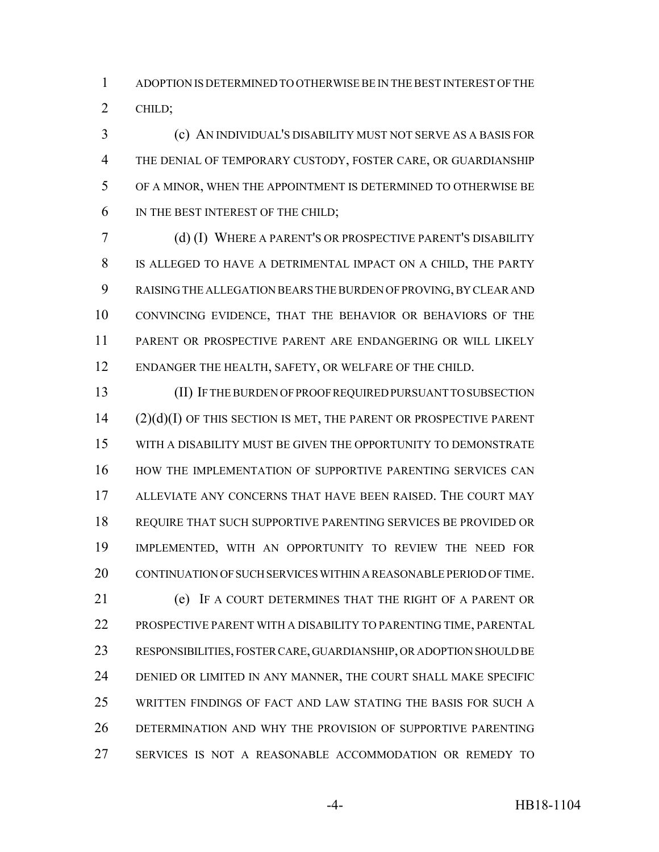ADOPTION IS DETERMINED TO OTHERWISE BE IN THE BEST INTEREST OF THE CHILD;

 (c) AN INDIVIDUAL'S DISABILITY MUST NOT SERVE AS A BASIS FOR THE DENIAL OF TEMPORARY CUSTODY, FOSTER CARE, OR GUARDIANSHIP OF A MINOR, WHEN THE APPOINTMENT IS DETERMINED TO OTHERWISE BE IN THE BEST INTEREST OF THE CHILD;

 (d) (I) WHERE A PARENT'S OR PROSPECTIVE PARENT'S DISABILITY IS ALLEGED TO HAVE A DETRIMENTAL IMPACT ON A CHILD, THE PARTY RAISING THE ALLEGATION BEARS THE BURDEN OF PROVING, BY CLEAR AND CONVINCING EVIDENCE, THAT THE BEHAVIOR OR BEHAVIORS OF THE PARENT OR PROSPECTIVE PARENT ARE ENDANGERING OR WILL LIKELY ENDANGER THE HEALTH, SAFETY, OR WELFARE OF THE CHILD.

 (II) IF THE BURDEN OF PROOF REQUIRED PURSUANT TO SUBSECTION (2)(d)(I) OF THIS SECTION IS MET, THE PARENT OR PROSPECTIVE PARENT WITH A DISABILITY MUST BE GIVEN THE OPPORTUNITY TO DEMONSTRATE HOW THE IMPLEMENTATION OF SUPPORTIVE PARENTING SERVICES CAN ALLEVIATE ANY CONCERNS THAT HAVE BEEN RAISED. THE COURT MAY REQUIRE THAT SUCH SUPPORTIVE PARENTING SERVICES BE PROVIDED OR IMPLEMENTED, WITH AN OPPORTUNITY TO REVIEW THE NEED FOR CONTINUATION OF SUCH SERVICES WITHIN A REASONABLE PERIOD OF TIME. (e) IF A COURT DETERMINES THAT THE RIGHT OF A PARENT OR PROSPECTIVE PARENT WITH A DISABILITY TO PARENTING TIME, PARENTAL

 RESPONSIBILITIES, FOSTER CARE, GUARDIANSHIP, OR ADOPTION SHOULD BE DENIED OR LIMITED IN ANY MANNER, THE COURT SHALL MAKE SPECIFIC WRITTEN FINDINGS OF FACT AND LAW STATING THE BASIS FOR SUCH A DETERMINATION AND WHY THE PROVISION OF SUPPORTIVE PARENTING SERVICES IS NOT A REASONABLE ACCOMMODATION OR REMEDY TO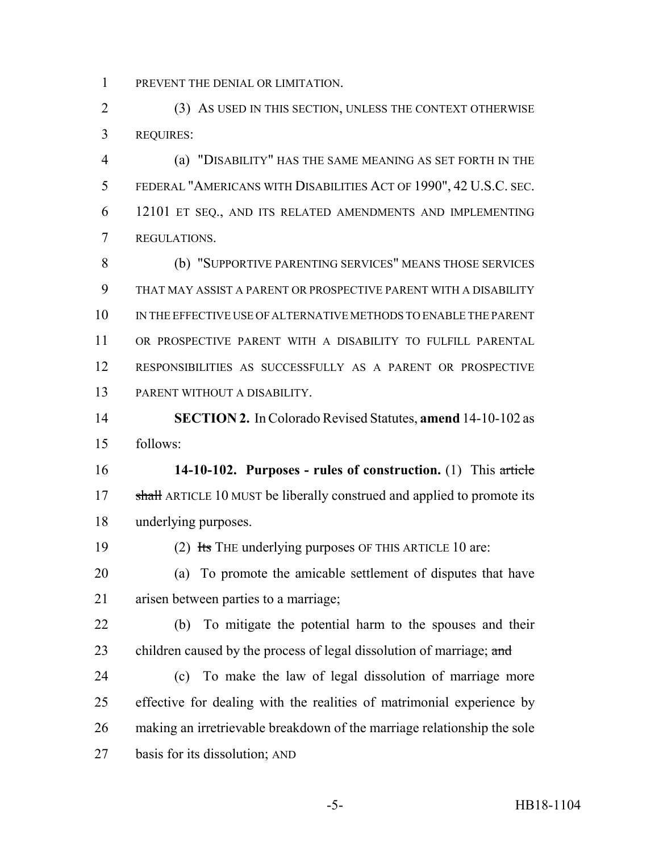PREVENT THE DENIAL OR LIMITATION.

 (3) AS USED IN THIS SECTION, UNLESS THE CONTEXT OTHERWISE REQUIRES:

 (a) "DISABILITY" HAS THE SAME MEANING AS SET FORTH IN THE FEDERAL "AMERICANS WITH DISABILITIES ACT OF 1990", 42 U.S.C. SEC. 12101 ET SEQ., AND ITS RELATED AMENDMENTS AND IMPLEMENTING REGULATIONS.

 (b) "SUPPORTIVE PARENTING SERVICES" MEANS THOSE SERVICES THAT MAY ASSIST A PARENT OR PROSPECTIVE PARENT WITH A DISABILITY IN THE EFFECTIVE USE OF ALTERNATIVE METHODS TO ENABLE THE PARENT OR PROSPECTIVE PARENT WITH A DISABILITY TO FULFILL PARENTAL RESPONSIBILITIES AS SUCCESSFULLY AS A PARENT OR PROSPECTIVE PARENT WITHOUT A DISABILITY.

 **SECTION 2.** In Colorado Revised Statutes, **amend** 14-10-102 as follows:

 **14-10-102. Purposes - rules of construction.** (1) This article 17 shall ARTICLE 10 MUST be liberally construed and applied to promote its underlying purposes.

19 (2) Its THE underlying purposes OF THIS ARTICLE 10 are:

 (a) To promote the amicable settlement of disputes that have arisen between parties to a marriage;

 (b) To mitigate the potential harm to the spouses and their 23 children caused by the process of legal dissolution of marriage; and

 (c) To make the law of legal dissolution of marriage more effective for dealing with the realities of matrimonial experience by making an irretrievable breakdown of the marriage relationship the sole basis for its dissolution; AND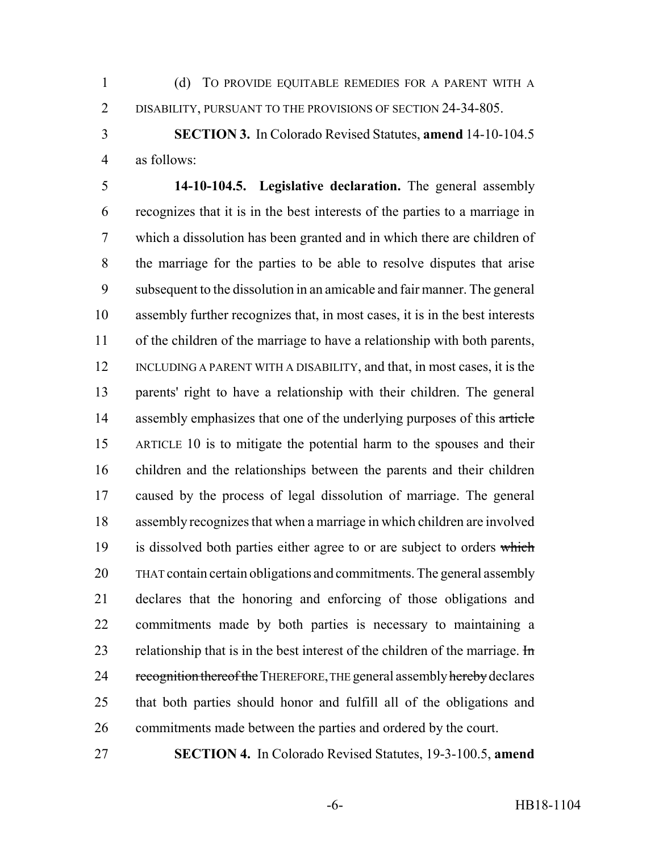(d) TO PROVIDE EQUITABLE REMEDIES FOR A PARENT WITH A 2 DISABILITY, PURSUANT TO THE PROVISIONS OF SECTION 24-34-805.

 **SECTION 3.** In Colorado Revised Statutes, **amend** 14-10-104.5 as follows:

 **14-10-104.5. Legislative declaration.** The general assembly recognizes that it is in the best interests of the parties to a marriage in which a dissolution has been granted and in which there are children of the marriage for the parties to be able to resolve disputes that arise subsequent to the dissolution in an amicable and fair manner. The general assembly further recognizes that, in most cases, it is in the best interests of the children of the marriage to have a relationship with both parents, INCLUDING A PARENT WITH A DISABILITY, and that, in most cases, it is the parents' right to have a relationship with their children. The general 14 assembly emphasizes that one of the underlying purposes of this article ARTICLE 10 is to mitigate the potential harm to the spouses and their children and the relationships between the parents and their children caused by the process of legal dissolution of marriage. The general assembly recognizes that when a marriage in which children are involved 19 is dissolved both parties either agree to or are subject to orders which THAT contain certain obligations and commitments. The general assembly declares that the honoring and enforcing of those obligations and commitments made by both parties is necessary to maintaining a 23 relationship that is in the best interest of the children of the marriage.  $\text{Im}$ 24 recognition thereof the THEREFORE, THE general assembly hereby declares that both parties should honor and fulfill all of the obligations and commitments made between the parties and ordered by the court.

**SECTION 4.** In Colorado Revised Statutes, 19-3-100.5, **amend**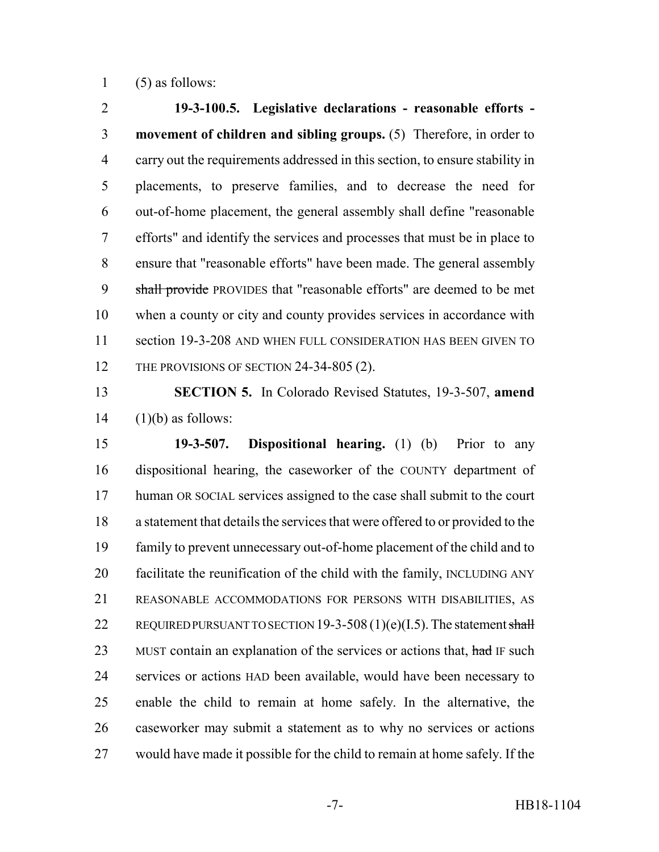1  $(5)$  as follows:

 **19-3-100.5. Legislative declarations - reasonable efforts - movement of children and sibling groups.** (5) Therefore, in order to carry out the requirements addressed in this section, to ensure stability in placements, to preserve families, and to decrease the need for out-of-home placement, the general assembly shall define "reasonable efforts" and identify the services and processes that must be in place to ensure that "reasonable efforts" have been made. The general assembly 9 shall provide PROVIDES that "reasonable efforts" are deemed to be met when a county or city and county provides services in accordance with section 19-3-208 AND WHEN FULL CONSIDERATION HAS BEEN GIVEN TO 12 THE PROVISIONS OF SECTION 24-34-805 (2).

 **SECTION 5.** In Colorado Revised Statutes, 19-3-507, **amend** (1)(b) as follows:

 **19-3-507. Dispositional hearing.** (1) (b) Prior to any dispositional hearing, the caseworker of the COUNTY department of human OR SOCIAL services assigned to the case shall submit to the court a statement that details the services that were offered to or provided to the family to prevent unnecessary out-of-home placement of the child and to facilitate the reunification of the child with the family, INCLUDING ANY REASONABLE ACCOMMODATIONS FOR PERSONS WITH DISABILITIES, AS 22 REQUIRED PURSUANT TO SECTION 19-3-508 (1)(e)(I.5). The statement shall 23 MUST contain an explanation of the services or actions that, had IF such services or actions HAD been available, would have been necessary to enable the child to remain at home safely. In the alternative, the caseworker may submit a statement as to why no services or actions would have made it possible for the child to remain at home safely. If the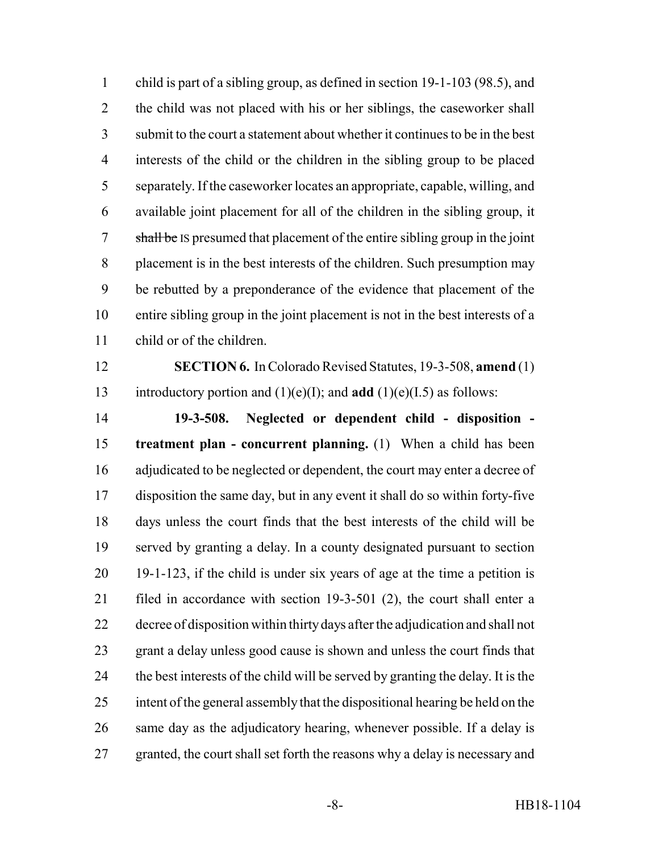child is part of a sibling group, as defined in section 19-1-103 (98.5), and the child was not placed with his or her siblings, the caseworker shall submit to the court a statement about whether it continues to be in the best interests of the child or the children in the sibling group to be placed separately. If the caseworker locates an appropriate, capable, willing, and available joint placement for all of the children in the sibling group, it shall be IS presumed that placement of the entire sibling group in the joint placement is in the best interests of the children. Such presumption may be rebutted by a preponderance of the evidence that placement of the entire sibling group in the joint placement is not in the best interests of a child or of the children.

 **SECTION 6.** In Colorado Revised Statutes, 19-3-508, **amend** (1) introductory portion and (1)(e)(I); and **add** (1)(e)(I.5) as follows:

 **19-3-508. Neglected or dependent child - disposition - treatment plan - concurrent planning.** (1) When a child has been adjudicated to be neglected or dependent, the court may enter a decree of disposition the same day, but in any event it shall do so within forty-five days unless the court finds that the best interests of the child will be served by granting a delay. In a county designated pursuant to section 19-1-123, if the child is under six years of age at the time a petition is filed in accordance with section 19-3-501 (2), the court shall enter a decree of disposition within thirty days after the adjudication and shall not grant a delay unless good cause is shown and unless the court finds that the best interests of the child will be served by granting the delay. It is the intent of the general assembly that the dispositional hearing be held on the same day as the adjudicatory hearing, whenever possible. If a delay is granted, the court shall set forth the reasons why a delay is necessary and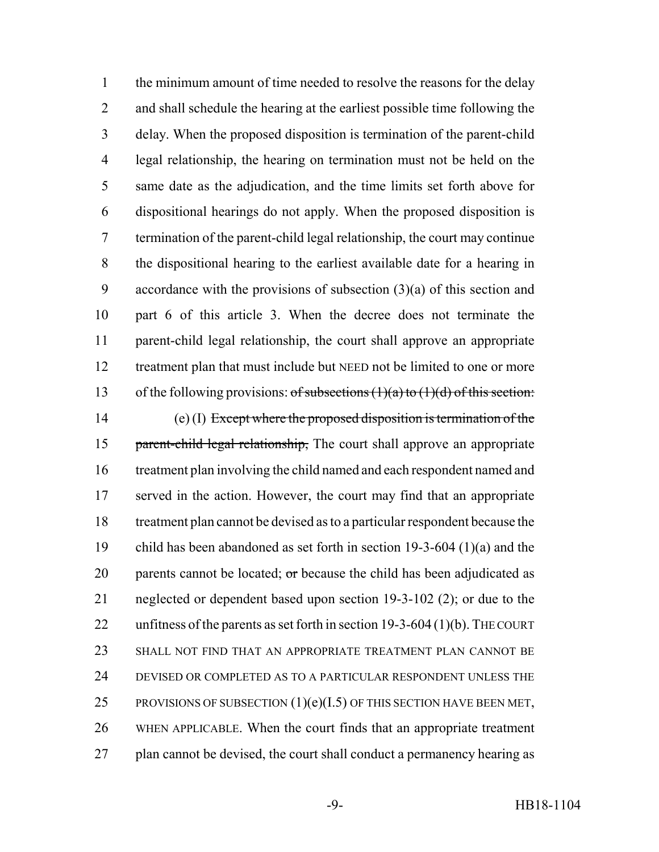the minimum amount of time needed to resolve the reasons for the delay and shall schedule the hearing at the earliest possible time following the delay. When the proposed disposition is termination of the parent-child legal relationship, the hearing on termination must not be held on the same date as the adjudication, and the time limits set forth above for dispositional hearings do not apply. When the proposed disposition is termination of the parent-child legal relationship, the court may continue the dispositional hearing to the earliest available date for a hearing in accordance with the provisions of subsection (3)(a) of this section and part 6 of this article 3. When the decree does not terminate the parent-child legal relationship, the court shall approve an appropriate treatment plan that must include but NEED not be limited to one or more 13 of the following provisions:  $of$  subsections  $(1)(a)$  to  $(1)(d)$  of this section: (e) (I) Except where the proposed disposition is termination of the 15 parent-child legal relationship, The court shall approve an appropriate treatment plan involving the child named and each respondent named and served in the action. However, the court may find that an appropriate treatment plan cannot be devised as to a particular respondent because the child has been abandoned as set forth in section 19-3-604 (1)(a) and the 20 parents cannot be located;  $\sigma$ r because the child has been adjudicated as neglected or dependent based upon section 19-3-102 (2); or due to the unfitness of the parents as set forth in section 19-3-604 (1)(b). THE COURT SHALL NOT FIND THAT AN APPROPRIATE TREATMENT PLAN CANNOT BE DEVISED OR COMPLETED AS TO A PARTICULAR RESPONDENT UNLESS THE 25 PROVISIONS OF SUBSECTION  $(1)(e)(I.5)$  OF THIS SECTION HAVE BEEN MET, WHEN APPLICABLE. When the court finds that an appropriate treatment 27 plan cannot be devised, the court shall conduct a permanency hearing as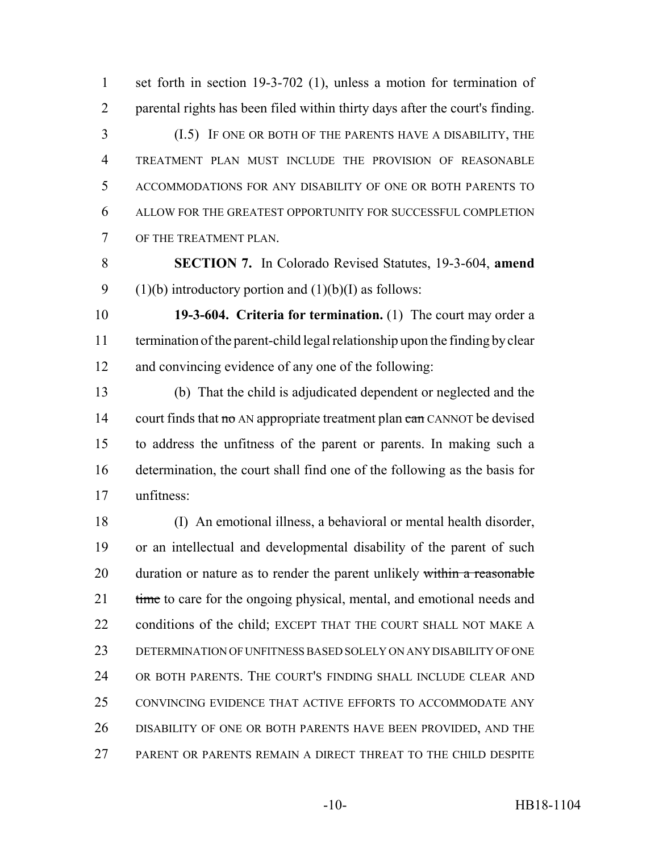set forth in section 19-3-702 (1), unless a motion for termination of parental rights has been filed within thirty days after the court's finding.

 (I.5) IF ONE OR BOTH OF THE PARENTS HAVE A DISABILITY, THE TREATMENT PLAN MUST INCLUDE THE PROVISION OF REASONABLE ACCOMMODATIONS FOR ANY DISABILITY OF ONE OR BOTH PARENTS TO ALLOW FOR THE GREATEST OPPORTUNITY FOR SUCCESSFUL COMPLETION OF THE TREATMENT PLAN.

 **SECTION 7.** In Colorado Revised Statutes, 19-3-604, **amend** 9 (1)(b) introductory portion and  $(1)(b)(I)$  as follows:

 **19-3-604. Criteria for termination.** (1) The court may order a termination of the parent-child legal relationship upon the finding by clear and convincing evidence of any one of the following:

 (b) That the child is adjudicated dependent or neglected and the 14 court finds that  $\theta$  AN appropriate treatment plan  $\theta$  can CANNOT be devised to address the unfitness of the parent or parents. In making such a determination, the court shall find one of the following as the basis for unfitness:

 (I) An emotional illness, a behavioral or mental health disorder, or an intellectual and developmental disability of the parent of such 20 duration or nature as to render the parent unlikely within a reasonable 21 time to care for the ongoing physical, mental, and emotional needs and 22 conditions of the child; EXCEPT THAT THE COURT SHALL NOT MAKE A DETERMINATION OF UNFITNESS BASED SOLELY ON ANY DISABILITY OF ONE OR BOTH PARENTS. THE COURT'S FINDING SHALL INCLUDE CLEAR AND CONVINCING EVIDENCE THAT ACTIVE EFFORTS TO ACCOMMODATE ANY DISABILITY OF ONE OR BOTH PARENTS HAVE BEEN PROVIDED, AND THE PARENT OR PARENTS REMAIN A DIRECT THREAT TO THE CHILD DESPITE